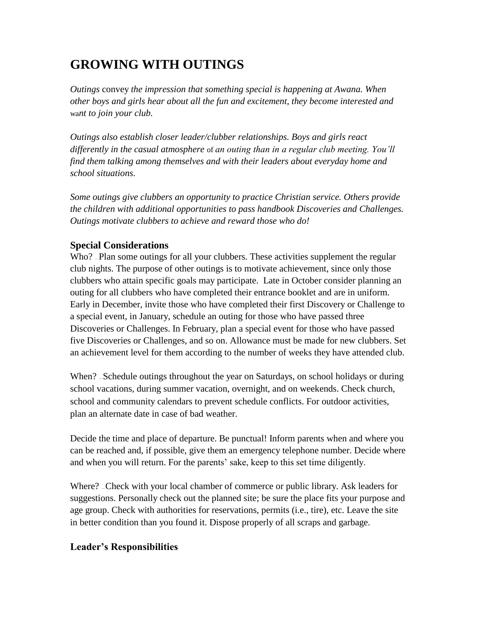# **GROWING WITH OUTINGS**

*Outings* convey *the impression that something special is happening at Awana. When other boys and girls hear about all the fun and excitement, they become interested and*  wa*nt to join your club.*

*Outings also establish closer leader/clubber relationships. Boys and girls react differently in the casual atmosphere* of *an outing than in a regular club meeting. You'll find them talking among themselves and with their leaders about everyday home and school situations.*

*Some outings give clubbers an opportunity to practice Christian service. Others provide the children with additional opportunities to pass handbook Discoveries and Challenges. Outings motivate clubbers to achieve and reward those who do!*

#### **Special Considerations**

Who? — Plan some outings for all your clubbers. These activities supplement the regular club nights. The purpose of other outings is to motivate achievement, since only those clubbers who attain specific goals may participate. Late in October consider planning an outing for all clubbers who have completed their entrance booklet and are in uniform. Early in December, invite those who have completed their first Discovery or Challenge to a special event, in January, schedule an outing for those who have passed three Discoveries or Challenges. In February, plan a special event for those who have passed five Discoveries or Challenges, and so on. Allowance must be made for new clubbers. Set an achievement level for them according to the number of weeks they have attended club.

When? - Schedule outings throughout the year on Saturdays, on school holidays or during school vacations, during summer vacation, overnight, and on weekends. Check church, school and community calendars to prevent schedule conflicts. For outdoor activities, plan an alternate date in case of bad weather.

Decide the time and place of departure. Be punctual! Inform parents when and where you can be reached and, if possible, give them an emergency telephone number. Decide where and when you will return. For the parents' sake, keep to this set time diligently.

Where? – Check with your local chamber of commerce or public library. Ask leaders for suggestions. Personally check out the planned site; be sure the place fits your purpose and age group. Check with authorities for reservations, permits (i.e., tire), etc. Leave the site in better condition than you found it. Dispose properly of all scraps and garbage.

#### **Leader's Responsibilities**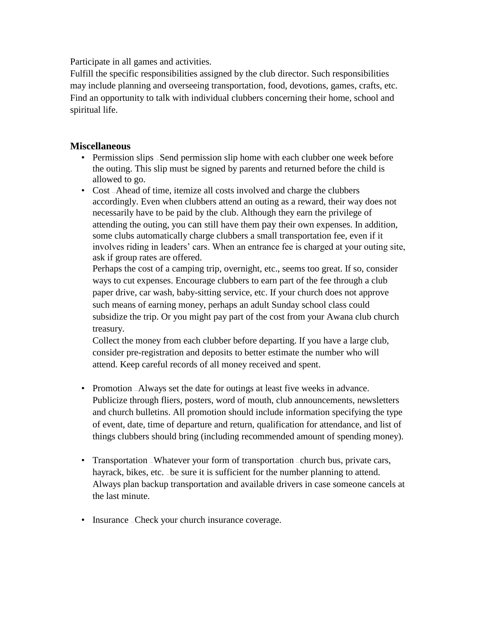Participate in all games and activities.

Fulfill the specific responsibilities assigned by the club director. Such responsibilities may include planning and overseeing transportation, food, devotions, games, crafts, etc. Find an opportunity to talk with individual clubbers concerning their home, school and spiritual life.

#### **Miscellaneous**

- Permission slips Send permission slip home with each clubber one week before the outing. This slip must be signed by parents and returned before the child is allowed to go.
- Cost Ahead of time, itemize all costs involved and charge the clubbers accordingly. Even when clubbers attend an outing as a reward, their way does not necessarily have to be paid by the club. Although they earn the privilege of attending the outing, you can still have them pay their own expenses. In addition, some clubs automatically charge clubbers a small transportation fee, even if it involves riding in leaders' cars. When an entrance fee is charged at your outing site, ask if group rates are offered.

Perhaps the cost of a camping trip, overnight, etc., seems too great. If so, consider ways to cut expenses. Encourage clubbers to earn part of the fee through a club paper drive, car wash, baby-sitting service, etc. If your church does not approve such means of earning money, perhaps an adult Sunday school class could subsidize the trip. Or you might pay part of the cost from your Awana club church treasury.

Collect the money from each clubber before departing. If you have a large club, consider pre-registration and deposits to better estimate the number who will attend. Keep careful records of all money received and spent.

- Promotion Always set the date for outings at least five weeks in advance. Publicize through fliers, posters, word of mouth, club announcements, newsletters and church bulletins. All promotion should include information specifying the type of event, date, time of departure and return, qualification for attendance, and list of things clubbers should bring (including recommended amount of spending money).
- Transportation Whatever your form of transportation church bus, private cars, hayrack, bikes, etc. – be sure it is sufficient for the number planning to attend. Always plan backup transportation and available drivers in case someone cancels at the last minute.
- Insurance Check your church insurance coverage.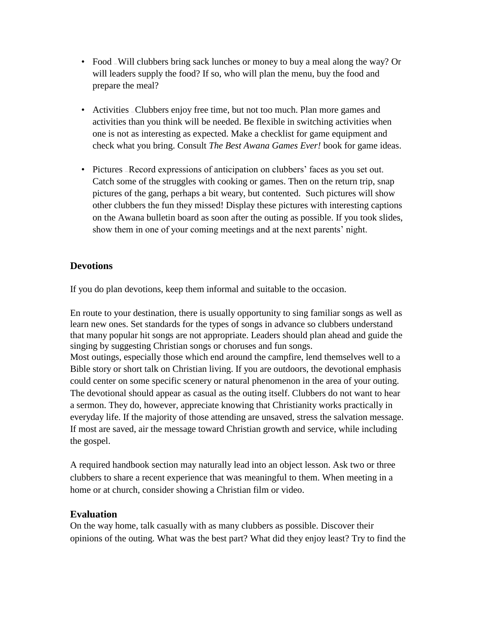- Food Will clubbers bring sack lunches or money to buy a meal along the way? Or will leaders supply the food? If so, who will plan the menu, buy the food and prepare the meal?
- Activities Clubbers enjoy free time, but not too much. Plan more games and activities than you think will be needed. Be flexible in switching activities when one is not as interesting as expected. Make a checklist for game equipment and check what you bring. Consult *The Best Awana Games Ever!* book for game ideas.
- Pictures Record expressions of anticipation on clubbers' faces as you set out. Catch some of the struggles with cooking or games. Then on the return trip, snap pictures of the gang, perhaps a bit weary, but contented. Such pictures will show other clubbers the fun they missed! Display these pictures with interesting captions on the Awana bulletin board as soon after the outing as possible. If you took slides, show them in one of your coming meetings and at the next parents' night.

#### **Devotions**

If you do plan devotions, keep them informal and suitable to the occasion.

En route to your destination, there is usually opportunity to sing familiar songs as well as learn new ones. Set standards for the types of songs in advance so clubbers understand that many popular hit songs are not appropriate. Leaders should plan ahead and guide the singing by suggesting Christian songs or choruses and fun songs. Most outings, especially those which end around the campfire, lend themselves well to a Bible story or short talk on Christian living. If you are outdoors, the devotional emphasis could center on some specific scenery or natural phenomenon in the area of your outing. The devotional should appear as casual as the outing itself. Clubbers do not want to hear a sermon. They do, however, appreciate knowing that Christianity works practically in everyday life. If the majority of those attending are unsaved, stress the salvation message. If most are saved, air the message toward Christian growth and service, while including the gospel.

A required handbook section may naturally lead into an object lesson. Ask two or three clubbers to share a recent experience that was meaningful to them. When meeting in a home or at church, consider showing a Christian film or video.

#### **Evaluation**

On the way home, talk casually with as many clubbers as possible. Discover their opinions of the outing. What was the best part? What did they enjoy least? Try to find the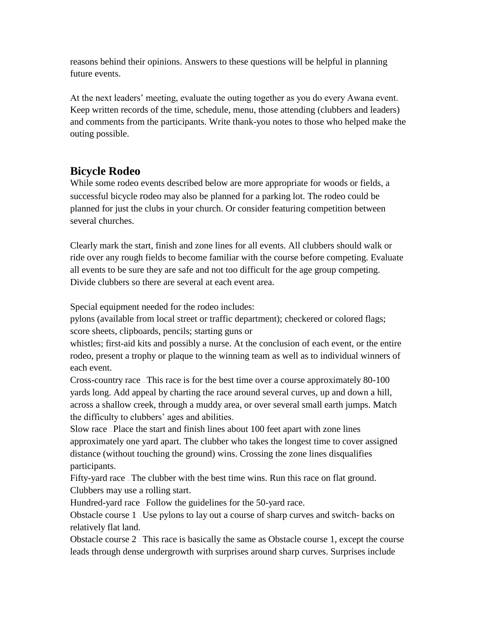reasons behind their opinions. Answers to these questions will be helpful in planning future events.

At the next leaders' meeting, evaluate the outing together as you do every Awana event. Keep written records of the time, schedule, menu, those attending (clubbers and leaders) and comments from the participants. Write thank-you notes to those who helped make the outing possible.

# **Bicycle Rodeo**

While some rodeo events described below are more appropriate for woods or fields, a successful bicycle rodeo may also be planned for a parking lot. The rodeo could be planned for just the clubs in your church. Or consider featuring competition between several churches.

Clearly mark the start, finish and zone lines for all events. All clubbers should walk or ride over any rough fields to become familiar with the course before competing. Evaluate all events to be sure they are safe and not too difficult for the age group competing. Divide clubbers so there are several at each event area.

Special equipment needed for the rodeo includes:

pylons (available from local street or traffic department); checkered or colored flags; score sheets, clipboards, pencils; starting guns or

whistles; first-aid kits and possibly a nurse. At the conclusion of each event, or the entire rodeo, present a trophy or plaque to the winning team as well as to individual winners of each event.

Cross-country race — This race is for the best time over a course approximately 80-100 yards long. Add appeal by charting the race around several curves, up and down a hill, across a shallow creek, through a muddy area, or over several small earth jumps. Match the difficulty to clubbers' ages and abilities.

Slow race — Place the start and finish lines about 100 feet apart with zone lines approximately one yard apart. The clubber who takes the longest time to cover assigned distance (without touching the ground) wins. Crossing the zone lines disqualifies participants.

Fifty-yard race — The clubber with the best time wins. Run this race on flat ground. Clubbers may use a rolling start.

Hundred-yard race — Follow the guidelines for the 50-yard race.

Obstacle course 1 — Use pylons to lay out a course of sharp curves and switch- backs on relatively flat land.

Obstacle course 2 — This race is basically the same as Obstacle course 1, except the course leads through dense undergrowth with surprises around sharp curves. Surprises include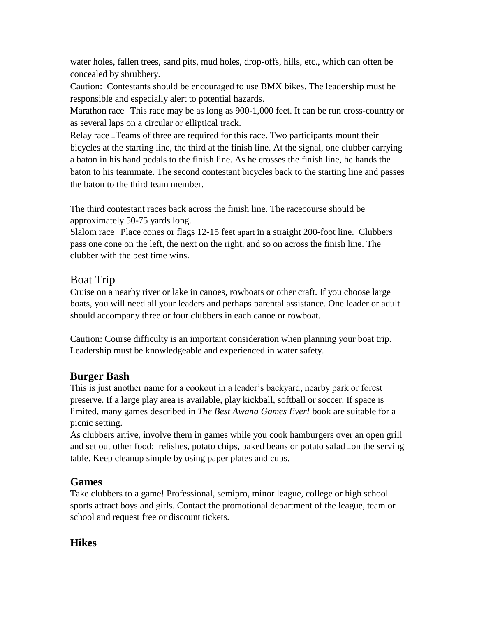water holes, fallen trees, sand pits, mud holes, drop-offs, hills, etc., which can often be concealed by shrubbery.

Caution: Contestants should be encouraged to use BMX bikes. The leadership must be responsible and especially alert to potential hazards.

Marathon race – This race may be as long as 900-1,000 feet. It can be run cross-country or as several laps on a circular or elliptical track.

Relay race — Teams of three are required for this race. Two participants mount their bicycles at the starting line, the third at the finish line. At the signal, one clubber carrying a baton in his hand pedals to the finish line. As he crosses the finish line, he hands the baton to his teammate. The second contestant bicycles back to the starting line and passes the baton to the third team member.

The third contestant races back across the finish line. The racecourse should be approximately 50-75 yards long.

Slalom race — Place cones or flags 12-15 feet apart in a straight 200-foot line. Clubbers pass one cone on the left, the next on the right, and so on across the finish line. The clubber with the best time wins.

### Boat Trip

Cruise on a nearby river or lake in canoes, rowboats or other craft. If you choose large boats, you will need all your leaders and perhaps parental assistance. One leader or adult should accompany three or four clubbers in each canoe or rowboat.

Caution: Course difficulty is an important consideration when planning your boat trip. Leadership must be knowledgeable and experienced in water safety.

# **Burger Bash**

This is just another name for a cookout in a leader's backyard, nearby park or forest preserve. If a large play area is available, play kickball, softball or soccer. If space is limited, many games described in *The Best Awana Games Ever!* book are suitable for a picnic setting.

As clubbers arrive, involve them in games while you cook hamburgers over an open grill and set out other food: relishes, potato chips, baked beans or potato salad — on the serving table. Keep cleanup simple by using paper plates and cups.

### **Games**

Take clubbers to a game! Professional, semipro, minor league, college or high school sports attract boys and girls. Contact the promotional department of the league, team or school and request free or discount tickets.

### **Hikes**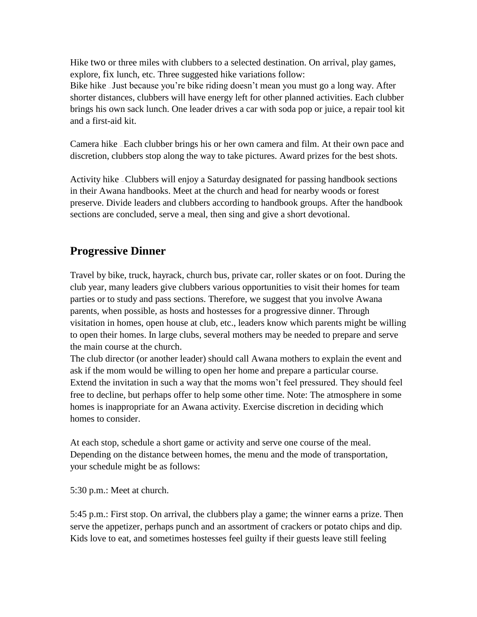Hike two or three miles with clubbers to a selected destination. On arrival, play games, explore, fix lunch, etc. Three suggested hike variations follow:

Bike hike – Just because you're bike riding doesn't mean you must go a long way. After shorter distances, clubbers will have energy left for other planned activities. Each clubber brings his own sack lunch. One leader drives a car with soda pop or juice, a repair tool kit and a first-aid kit.

Camera hike — Each clubber brings his or her own camera and film. At their own pace and discretion, clubbers stop along the way to take pictures. Award prizes for the best shots.

Activity hike — Clubbers will enjoy a Saturday designated for passing handbook sections in their Awana handbooks. Meet at the church and head for nearby woods or forest preserve. Divide leaders and clubbers according to handbook groups. After the handbook sections are concluded, serve a meal, then sing and give a short devotional.

### **Progressive Dinner**

Travel by bike, truck, hayrack, church bus, private car, roller skates or on foot. During the club year, many leaders give clubbers various opportunities to visit their homes for team parties or to study and pass sections. Therefore, we suggest that you involve Awana parents, when possible, as hosts and hostesses for a progressive dinner. Through visitation in homes, open house at club, etc., leaders know which parents might be willing to open their homes. In large clubs, several mothers may be needed to prepare and serve the main course at the church.

The club director (or another leader) should call Awana mothers to explain the event and ask if the mom would be willing to open her home and prepare a particular course. Extend the invitation in such a way that the moms won't feel pressured. They should feel free to decline, but perhaps offer to help some other time. Note: The atmosphere in some homes is inappropriate for an Awana activity. Exercise discretion in deciding which homes to consider.

At each stop, schedule a short game or activity and serve one course of the meal. Depending on the distance between homes, the menu and the mode of transportation, your schedule might be as follows:

5:30 p.m.: Meet at church.

5:45 p.m.: First stop. On arrival, the clubbers play a game; the winner earns a prize. Then serve the appetizer, perhaps punch and an assortment of crackers or potato chips and dip. Kids love to eat, and sometimes hostesses feel guilty if their guests leave still feeling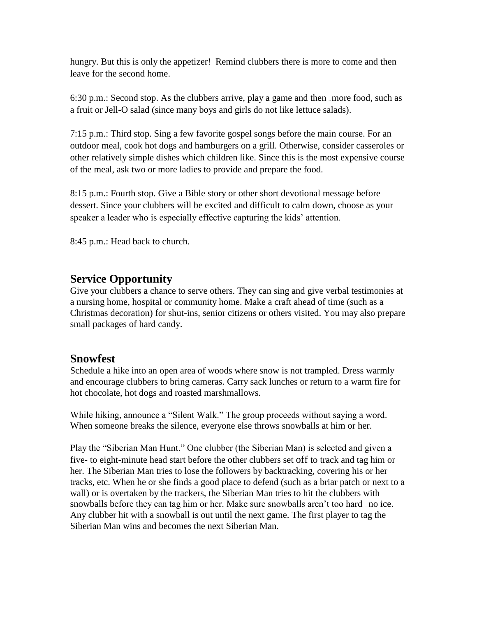hungry. But this is only the appetizer! Remind clubbers there is more to come and then leave for the second home.

6:30 p.m.: Second stop. As the clubbers arrive, play a game and then more food, such as a fruit or Jell-O salad (since many boys and girls do not like lettuce salads).

7:15 p.m.: Third stop. Sing a few favorite gospel songs before the main course. For an outdoor meal, cook hot dogs and hamburgers on a grill. Otherwise, consider casseroles or other relatively simple dishes which children like. Since this is the most expensive course of the meal, ask two or more ladies to provide and prepare the food.

8:15 p.m.: Fourth stop. Give a Bible story or other short devotional message before dessert. Since your clubbers will be excited and difficult to calm down, choose as your speaker a leader who is especially effective capturing the kids' attention.

8:45 p.m.: Head back to church.

### **Service Opportunity**

Give your clubbers a chance to serve others. They can sing and give verbal testimonies at a nursing home, hospital or community home. Make a craft ahead of time (such as a Christmas decoration) for shut-ins, senior citizens or others visited. You may also prepare small packages of hard candy.

#### **Snowfest**

Schedule a hike into an open area of woods where snow is not trampled. Dress warmly and encourage clubbers to bring cameras. Carry sack lunches or return to a warm fire for hot chocolate, hot dogs and roasted marshmallows.

While hiking, announce a "Silent Walk." The group proceeds without saying a word. When someone breaks the silence, everyone else throws snowballs at him or her.

Play the "Siberian Man Hunt." One clubber (the Siberian Man) is selected and given a five- to eight-minute head start before the other clubbers set off to track and tag him or her. The Siberian Man tries to lose the followers by backtracking, covering his or her tracks, etc. When he or she finds a good place to defend (such as a briar patch or next to a wall) or is overtaken by the trackers, the Siberian Man tries to hit the clubbers with snowballs before they can tag him or her. Make sure snowballs aren't too hard no ice. Any clubber hit with a snowball is out until the next game. The first player to tag the Siberian Man wins and becomes the next Siberian Man.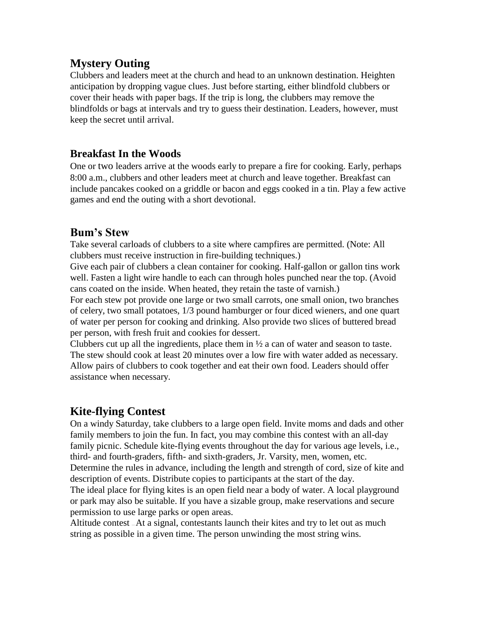# **Mystery Outing**

Clubbers and leaders meet at the church and head to an unknown destination. Heighten anticipation by dropping vague clues. Just before starting, either blindfold clubbers or cover their heads with paper bags. If the trip is long, the clubbers may remove the blindfolds or bags at intervals and try to guess their destination. Leaders, however, must keep the secret until arrival.

#### **Breakfast In the Woods**

One or two leaders arrive at the woods early to prepare a fire for cooking. Early, perhaps 8:00 a.m., clubbers and other leaders meet at church and leave together. Breakfast can include pancakes cooked on a griddle or bacon and eggs cooked in a tin. Play a few active games and end the outing with a short devotional.

### **Bum's Stew**

Take several carloads of clubbers to a site where campfires are permitted. (Note: All clubbers must receive instruction in fire-building techniques.)

Give each pair of clubbers a clean container for cooking. Half-gallon or gallon tins work well. Fasten a light wire handle to each can through holes punched near the top. (Avoid cans coated on the inside. When heated, they retain the taste of varnish.)

For each stew pot provide one large or two small carrots, one small onion, two branches of celery, two small potatoes, 1/3 pound hamburger or four diced wieners, and one quart of water per person for cooking and drinking. Also provide two slices of buttered bread per person, with fresh fruit and cookies for dessert.

Clubbers cut up all the ingredients, place them in  $\frac{1}{2}$  a can of water and season to taste. The stew should cook at least 20 minutes over a low fire with water added as necessary. Allow pairs of clubbers to cook together and eat their own food. Leaders should offer assistance when necessary.

# **Kite-flying Contest**

On a windy Saturday, take clubbers to a large open field. Invite moms and dads and other family members to join the fun. In fact, you may combine this contest with an all-day family picnic. Schedule kite-flying events throughout the day for various age levels, i.e., third- and fourth-graders, fifth- and sixth-graders, Jr. Varsity, men, women, etc. Determine the rules in advance, including the length and strength of cord, size of kite and description of events. Distribute copies to participants at the start of the day. The ideal place for flying kites is an open field near a body of water. A local playground or park may also be suitable. If you have a sizable group, make reservations and secure permission to use large parks or open areas.

Altitude contest — At a signal, contestants launch their kites and try to let out as much string as possible in a given time. The person unwinding the most string wins.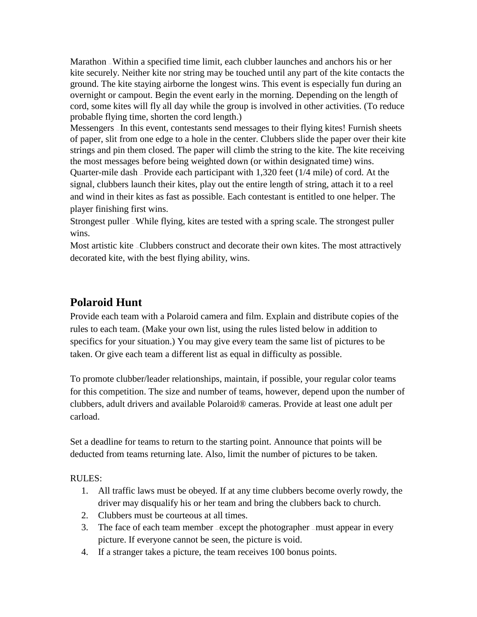Marathon — Within a specified time limit, each clubber launches and anchors his or her kite securely. Neither kite nor string may be touched until any part of the kite contacts the ground. The kite staying airborne the longest wins. This event is especially fun during an overnight or campout. Begin the event early in the morning. Depending on the length of cord, some kites will fly all day while the group is involved in other activities. (To reduce probable flying time, shorten the cord length.)

Messengers — In this event, contestants send messages to their flying kites! Furnish sheets of paper, slit from one edge to a hole in the center. Clubbers slide the paper over their kite strings and pin them closed. The paper will climb the string to the kite. The kite receiving the most messages before being weighted down (or within designated time) wins.

Quarter-mile dash — Provide each participant with 1,320 feet (1/4 mile) of cord. At the signal, clubbers launch their kites, play out the entire length of string, attach it to a reel and wind in their kites as fast as possible. Each contestant is entitled to one helper. The player finishing first wins.

Strongest puller — While flying, kites are tested with a spring scale. The strongest puller wins.

Most artistic kite – Clubbers construct and decorate their own kites. The most attractively decorated kite, with the best flying ability, wins.

# **Polaroid Hunt**

Provide each team with a Polaroid camera and film. Explain and distribute copies of the rules to each team. (Make your own list, using the rules listed below in addition to specifics for your situation.) You may give every team the same list of pictures to be taken. Or give each team a different list as equal in difficulty as possible.

To promote clubber/leader relationships, maintain, if possible, your regular color teams for this competition. The size and number of teams, however, depend upon the number of clubbers, adult drivers and available Polaroid® cameras. Provide at least one adult per carload.

Set a deadline for teams to return to the starting point. Announce that points will be deducted from teams returning late. Also, limit the number of pictures to be taken.

#### RULES:

- 1. All traffic laws must be obeyed. If at any time clubbers become overly rowdy, the driver may disqualify his or her team and bring the clubbers back to church.
- 2. Clubbers must be courteous at all times.
- 3. The face of each team member except the photographer must appear in every picture. If everyone cannot be seen, the picture is void.
- 4. If a stranger takes a picture, the team receives 100 bonus points.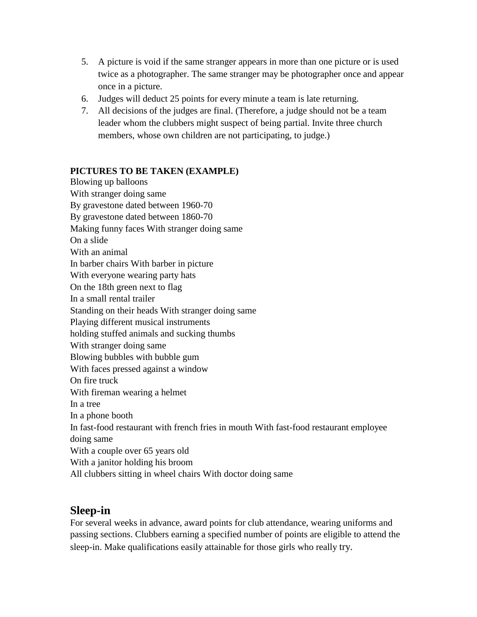- 5. A picture is void if the same stranger appears in more than one picture or is used twice as a photographer. The same stranger may be photographer once and appear once in a picture.
- 6. Judges will deduct 25 points for every minute a team is late returning.
- 7. All decisions of the judges are final. (Therefore, a judge should not be a team leader whom the clubbers might suspect of being partial. Invite three church members, whose own children are not participating, to judge.)

#### **PICTURES TO BE TAKEN (EXAMPLE)**

Blowing up balloons With stranger doing same By gravestone dated between 1960-70 By gravestone dated between 1860-70 Making funny faces With stranger doing same On a slide With an animal In barber chairs With barber in picture With everyone wearing party hats On the 18th green next to flag In a small rental trailer Standing on their heads With stranger doing same Playing different musical instruments holding stuffed animals and sucking thumbs With stranger doing same Blowing bubbles with bubble gum With faces pressed against a window On fire truck With fireman wearing a helmet In a tree In a phone booth In fast-food restaurant with french fries in mouth With fast-food restaurant employee doing same With a couple over 65 years old With a janitor holding his broom All clubbers sitting in wheel chairs With doctor doing same

### **Sleep-in**

For several weeks in advance, award points for club attendance, wearing uniforms and passing sections. Clubbers earning a specified number of points are eligible to attend the sleep-in. Make qualifications easily attainable for those girls who really try.